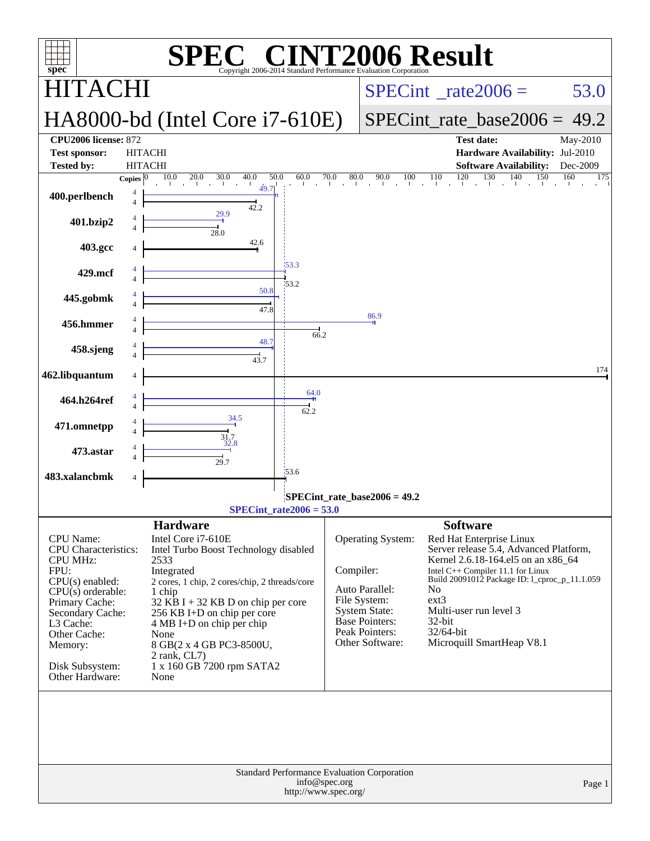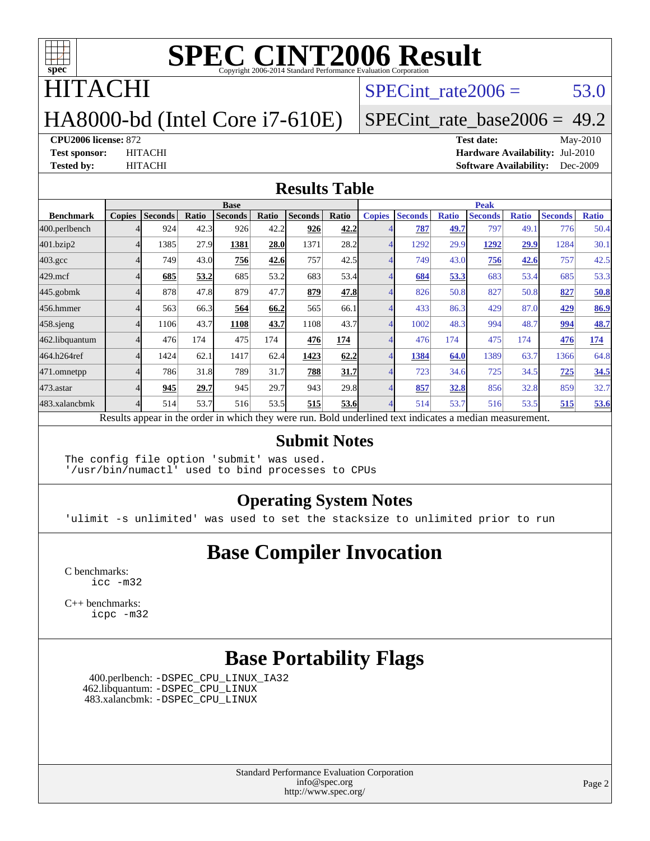

## HITACHI

## HA8000-bd (Intel Core i7-610E)

 $SPECTnt_rate2006 = 53.0$ 

#### [SPECint\\_rate\\_base2006 =](http://www.spec.org/auto/cpu2006/Docs/result-fields.html#SPECintratebase2006) 49.2

**[CPU2006 license:](http://www.spec.org/auto/cpu2006/Docs/result-fields.html#CPU2006license)** 872 **[Test date:](http://www.spec.org/auto/cpu2006/Docs/result-fields.html#Testdate)** May-2010 **[Test sponsor:](http://www.spec.org/auto/cpu2006/Docs/result-fields.html#Testsponsor)** HITACHI **[Hardware Availability:](http://www.spec.org/auto/cpu2006/Docs/result-fields.html#HardwareAvailability)** Jul-2010 **[Tested by:](http://www.spec.org/auto/cpu2006/Docs/result-fields.html#Testedby)** HITACHI **[Software Availability:](http://www.spec.org/auto/cpu2006/Docs/result-fields.html#SoftwareAvailability)** Dec-2009

#### **[Results Table](http://www.spec.org/auto/cpu2006/Docs/result-fields.html#ResultsTable)**

|                    | <b>Base</b>   |                |       |                                                                                                          |       |                |       | <b>Peak</b>   |                |              |                |              |                |              |
|--------------------|---------------|----------------|-------|----------------------------------------------------------------------------------------------------------|-------|----------------|-------|---------------|----------------|--------------|----------------|--------------|----------------|--------------|
| <b>Benchmark</b>   | <b>Copies</b> | <b>Seconds</b> | Ratio | <b>Seconds</b>                                                                                           | Ratio | <b>Seconds</b> | Ratio | <b>Copies</b> | <b>Seconds</b> | <b>Ratio</b> | <b>Seconds</b> | <b>Ratio</b> | <b>Seconds</b> | <b>Ratio</b> |
| 400.perlbench      |               | 924            | 42.3  | 926                                                                                                      | 42.2  | 926            | 42.2  |               | 787            | 49.7         | 797            | 49.1         | 776            | 50.4         |
| 401.bzip2          |               | 1385           | 27.9  | 1381                                                                                                     | 28.0  | 1371           | 28.2  |               | 1292           | 29.9         | 1292           | 29.9         | 1284           | 30.1         |
| $403.\mathrm{gcc}$ |               | 749            | 43.0  | 756                                                                                                      | 42.6  | 757            | 42.5  |               | 749            | 43.0         | 756            | 42.6         | 757            | 42.5         |
| $429$ .mcf         |               | 685            | 53.2  | 685                                                                                                      | 53.2  | 683            | 53.4  |               | 684            | 53.3         | 683            | 53.4         | 685            | 53.3         |
| 445.gobmk          |               | 878            | 47.8  | 879                                                                                                      | 47.7  | 879            | 47.8  |               | 826            | 50.8         | 827            | 50.8         | 827            | 50.8         |
| 456.hmmer          |               | 563            | 66.3  | 564                                                                                                      | 66.2  | 565            | 66.1  |               | 433            | 86.3         | 429            | 87.0         | 429            | 86.9         |
| $458$ .sjeng       |               | 1106           | 43.7  | 1108                                                                                                     | 43.7  | 1108           | 43.7  |               | 1002           | 48.3         | 994            | 48.7         | 994            | 48.7         |
| 462.libquantum     |               | 476            | 174   | 475                                                                                                      | 174   | 476            | 174   |               | 476            | 174          | 475            | 174          | 476            | 174          |
| 464.h264ref        |               | 1424           | 62.1  | 1417                                                                                                     | 62.4  | 1423           | 62.2  |               | 1384           | 64.0         | 1389           | 63.7         | 1366           | 64.8         |
| 471.omnetpp        |               | 786            | 31.8  | 789                                                                                                      | 31.7  | 788            | 31.7  |               | 723            | 34.6         | 725            | 34.5         | 725            | 34.5         |
| 473.astar          |               | 945            | 29.7  | 945                                                                                                      | 29.7  | 943            | 29.8  |               | 857            | 32.8         | 856            | 32.8         | 859            | 32.7         |
| 483.xalancbmk      |               | 514            | 53.7  | 516                                                                                                      | 53.5  | 515            | 53.6  |               | 514            | 53.7         | 516            | 53.5         | 515            | 53.6         |
|                    |               |                |       | Results appear in the order in which they were run. Bold underlined text indicates a median measurement. |       |                |       |               |                |              |                |              |                |              |

#### **[Submit Notes](http://www.spec.org/auto/cpu2006/Docs/result-fields.html#SubmitNotes)**

The config file option 'submit' was used. '/usr/bin/numactl' used to bind processes to CPUs

#### **[Operating System Notes](http://www.spec.org/auto/cpu2006/Docs/result-fields.html#OperatingSystemNotes)**

'ulimit -s unlimited' was used to set the stacksize to unlimited prior to run

#### **[Base Compiler Invocation](http://www.spec.org/auto/cpu2006/Docs/result-fields.html#BaseCompilerInvocation)**

[C benchmarks](http://www.spec.org/auto/cpu2006/Docs/result-fields.html#Cbenchmarks): [icc -m32](http://www.spec.org/cpu2006/results/res2010q3/cpu2006-20100608-11622.flags.html#user_CCbase_intel_icc_32bit_a6a621f8d50482236b970c6ac5f55f93)

[C++ benchmarks:](http://www.spec.org/auto/cpu2006/Docs/result-fields.html#CXXbenchmarks) [icpc -m32](http://www.spec.org/cpu2006/results/res2010q3/cpu2006-20100608-11622.flags.html#user_CXXbase_intel_icpc_32bit_4e5a5ef1a53fd332b3c49e69c3330699)

#### **[Base Portability Flags](http://www.spec.org/auto/cpu2006/Docs/result-fields.html#BasePortabilityFlags)**

 400.perlbench: [-DSPEC\\_CPU\\_LINUX\\_IA32](http://www.spec.org/cpu2006/results/res2010q3/cpu2006-20100608-11622.flags.html#b400.perlbench_baseCPORTABILITY_DSPEC_CPU_LINUX_IA32) 462.libquantum: [-DSPEC\\_CPU\\_LINUX](http://www.spec.org/cpu2006/results/res2010q3/cpu2006-20100608-11622.flags.html#b462.libquantum_baseCPORTABILITY_DSPEC_CPU_LINUX) 483.xalancbmk: [-DSPEC\\_CPU\\_LINUX](http://www.spec.org/cpu2006/results/res2010q3/cpu2006-20100608-11622.flags.html#b483.xalancbmk_baseCXXPORTABILITY_DSPEC_CPU_LINUX)

> Standard Performance Evaluation Corporation [info@spec.org](mailto:info@spec.org) <http://www.spec.org/>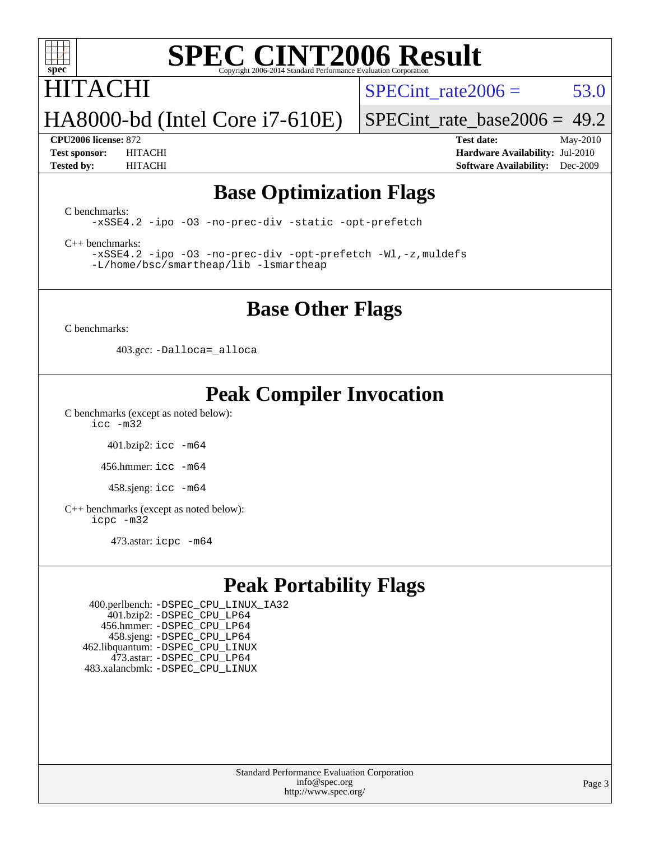

## **ITACHI**

SPECint rate $2006 = 53.0$ 

HA8000-bd (Intel Core i7-610E)

[SPECint\\_rate\\_base2006 =](http://www.spec.org/auto/cpu2006/Docs/result-fields.html#SPECintratebase2006) 49.2

**[CPU2006 license:](http://www.spec.org/auto/cpu2006/Docs/result-fields.html#CPU2006license)** 872 **[Test date:](http://www.spec.org/auto/cpu2006/Docs/result-fields.html#Testdate)** May-2010 **[Test sponsor:](http://www.spec.org/auto/cpu2006/Docs/result-fields.html#Testsponsor)** HITACHI **[Hardware Availability:](http://www.spec.org/auto/cpu2006/Docs/result-fields.html#HardwareAvailability)** Jul-2010 **[Tested by:](http://www.spec.org/auto/cpu2006/Docs/result-fields.html#Testedby)** HITACHI **[Software Availability:](http://www.spec.org/auto/cpu2006/Docs/result-fields.html#SoftwareAvailability)** Dec-2009

#### **[Base Optimization Flags](http://www.spec.org/auto/cpu2006/Docs/result-fields.html#BaseOptimizationFlags)**

[C benchmarks](http://www.spec.org/auto/cpu2006/Docs/result-fields.html#Cbenchmarks):

[-xSSE4.2](http://www.spec.org/cpu2006/results/res2010q3/cpu2006-20100608-11622.flags.html#user_CCbase_f-xSSE42_f91528193cf0b216347adb8b939d4107) [-ipo](http://www.spec.org/cpu2006/results/res2010q3/cpu2006-20100608-11622.flags.html#user_CCbase_f-ipo) [-O3](http://www.spec.org/cpu2006/results/res2010q3/cpu2006-20100608-11622.flags.html#user_CCbase_f-O3) [-no-prec-div](http://www.spec.org/cpu2006/results/res2010q3/cpu2006-20100608-11622.flags.html#user_CCbase_f-no-prec-div) [-static](http://www.spec.org/cpu2006/results/res2010q3/cpu2006-20100608-11622.flags.html#user_CCbase_f-static) [-opt-prefetch](http://www.spec.org/cpu2006/results/res2010q3/cpu2006-20100608-11622.flags.html#user_CCbase_f-opt-prefetch)

[C++ benchmarks:](http://www.spec.org/auto/cpu2006/Docs/result-fields.html#CXXbenchmarks)

[-xSSE4.2](http://www.spec.org/cpu2006/results/res2010q3/cpu2006-20100608-11622.flags.html#user_CXXbase_f-xSSE42_f91528193cf0b216347adb8b939d4107) [-ipo](http://www.spec.org/cpu2006/results/res2010q3/cpu2006-20100608-11622.flags.html#user_CXXbase_f-ipo) [-O3](http://www.spec.org/cpu2006/results/res2010q3/cpu2006-20100608-11622.flags.html#user_CXXbase_f-O3) [-no-prec-div](http://www.spec.org/cpu2006/results/res2010q3/cpu2006-20100608-11622.flags.html#user_CXXbase_f-no-prec-div) [-opt-prefetch](http://www.spec.org/cpu2006/results/res2010q3/cpu2006-20100608-11622.flags.html#user_CXXbase_f-opt-prefetch) [-Wl,-z,muldefs](http://www.spec.org/cpu2006/results/res2010q3/cpu2006-20100608-11622.flags.html#user_CXXbase_link_force_multiple1_74079c344b956b9658436fd1b6dd3a8a) [-L/home/bsc/smartheap/lib -lsmartheap](http://www.spec.org/cpu2006/results/res2010q3/cpu2006-20100608-11622.flags.html#user_CXXbase_SmartHeap_9f0954739f7704b2e81d8beae675b87f)

#### **[Base Other Flags](http://www.spec.org/auto/cpu2006/Docs/result-fields.html#BaseOtherFlags)**

[C benchmarks](http://www.spec.org/auto/cpu2006/Docs/result-fields.html#Cbenchmarks):

403.gcc: [-Dalloca=\\_alloca](http://www.spec.org/cpu2006/results/res2010q3/cpu2006-20100608-11622.flags.html#b403.gcc_baseEXTRA_CFLAGS_Dalloca_be3056838c12de2578596ca5467af7f3)

## **[Peak Compiler Invocation](http://www.spec.org/auto/cpu2006/Docs/result-fields.html#PeakCompilerInvocation)**

[C benchmarks \(except as noted below\)](http://www.spec.org/auto/cpu2006/Docs/result-fields.html#Cbenchmarksexceptasnotedbelow): [icc -m32](http://www.spec.org/cpu2006/results/res2010q3/cpu2006-20100608-11622.flags.html#user_CCpeak_intel_icc_32bit_a6a621f8d50482236b970c6ac5f55f93)

401.bzip2: [icc -m64](http://www.spec.org/cpu2006/results/res2010q3/cpu2006-20100608-11622.flags.html#user_peakCCLD401_bzip2_intel_icc_64bit_bda6cc9af1fdbb0edc3795bac97ada53)

456.hmmer: [icc -m64](http://www.spec.org/cpu2006/results/res2010q3/cpu2006-20100608-11622.flags.html#user_peakCCLD456_hmmer_intel_icc_64bit_bda6cc9af1fdbb0edc3795bac97ada53)

458.sjeng: [icc -m64](http://www.spec.org/cpu2006/results/res2010q3/cpu2006-20100608-11622.flags.html#user_peakCCLD458_sjeng_intel_icc_64bit_bda6cc9af1fdbb0edc3795bac97ada53)

[C++ benchmarks \(except as noted below\):](http://www.spec.org/auto/cpu2006/Docs/result-fields.html#CXXbenchmarksexceptasnotedbelow) [icpc -m32](http://www.spec.org/cpu2006/results/res2010q3/cpu2006-20100608-11622.flags.html#user_CXXpeak_intel_icpc_32bit_4e5a5ef1a53fd332b3c49e69c3330699)

473.astar: [icpc -m64](http://www.spec.org/cpu2006/results/res2010q3/cpu2006-20100608-11622.flags.html#user_peakCXXLD473_astar_intel_icpc_64bit_fc66a5337ce925472a5c54ad6a0de310)

## **[Peak Portability Flags](http://www.spec.org/auto/cpu2006/Docs/result-fields.html#PeakPortabilityFlags)**

 400.perlbench: [-DSPEC\\_CPU\\_LINUX\\_IA32](http://www.spec.org/cpu2006/results/res2010q3/cpu2006-20100608-11622.flags.html#b400.perlbench_peakCPORTABILITY_DSPEC_CPU_LINUX_IA32) 401.bzip2: [-DSPEC\\_CPU\\_LP64](http://www.spec.org/cpu2006/results/res2010q3/cpu2006-20100608-11622.flags.html#suite_peakCPORTABILITY401_bzip2_DSPEC_CPU_LP64) 456.hmmer: [-DSPEC\\_CPU\\_LP64](http://www.spec.org/cpu2006/results/res2010q3/cpu2006-20100608-11622.flags.html#suite_peakCPORTABILITY456_hmmer_DSPEC_CPU_LP64) 458.sjeng: [-DSPEC\\_CPU\\_LP64](http://www.spec.org/cpu2006/results/res2010q3/cpu2006-20100608-11622.flags.html#suite_peakCPORTABILITY458_sjeng_DSPEC_CPU_LP64) 462.libquantum: [-DSPEC\\_CPU\\_LINUX](http://www.spec.org/cpu2006/results/res2010q3/cpu2006-20100608-11622.flags.html#b462.libquantum_peakCPORTABILITY_DSPEC_CPU_LINUX) 473.astar: [-DSPEC\\_CPU\\_LP64](http://www.spec.org/cpu2006/results/res2010q3/cpu2006-20100608-11622.flags.html#suite_peakCXXPORTABILITY473_astar_DSPEC_CPU_LP64) 483.xalancbmk: [-DSPEC\\_CPU\\_LINUX](http://www.spec.org/cpu2006/results/res2010q3/cpu2006-20100608-11622.flags.html#b483.xalancbmk_peakCXXPORTABILITY_DSPEC_CPU_LINUX)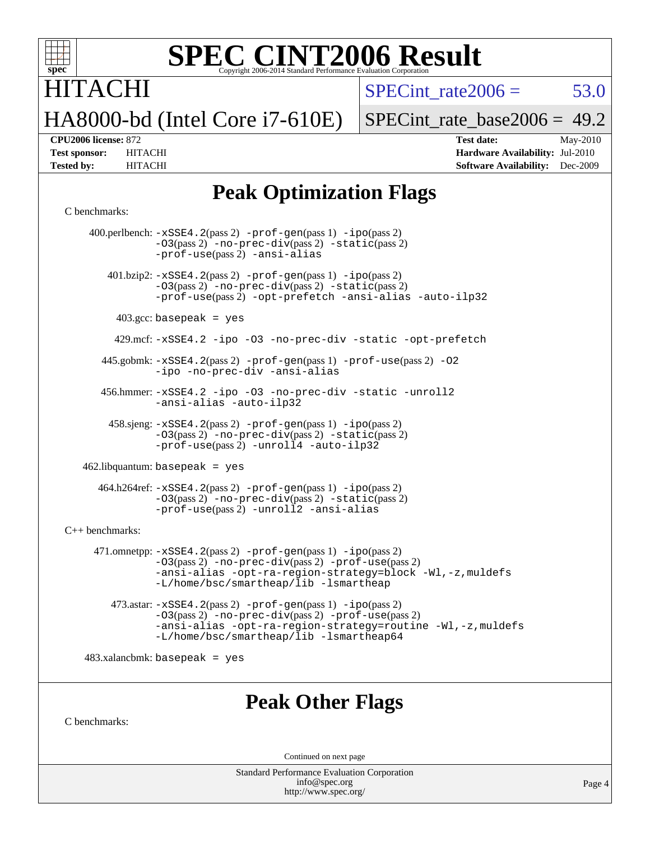

## **TACHI** HA8000-bd (Intel Core i7-610E)

SPECint rate $2006 = 53.0$ 

[SPECint\\_rate\\_base2006 =](http://www.spec.org/auto/cpu2006/Docs/result-fields.html#SPECintratebase2006) 49.2

**[CPU2006 license:](http://www.spec.org/auto/cpu2006/Docs/result-fields.html#CPU2006license)** 872 **[Test date:](http://www.spec.org/auto/cpu2006/Docs/result-fields.html#Testdate)** May-2010 **[Test sponsor:](http://www.spec.org/auto/cpu2006/Docs/result-fields.html#Testsponsor)** HITACHI **[Hardware Availability:](http://www.spec.org/auto/cpu2006/Docs/result-fields.html#HardwareAvailability)** Jul-2010 **[Tested by:](http://www.spec.org/auto/cpu2006/Docs/result-fields.html#Testedby)** HITACHI **[Software Availability:](http://www.spec.org/auto/cpu2006/Docs/result-fields.html#SoftwareAvailability)** Dec-2009

#### **[Peak Optimization Flags](http://www.spec.org/auto/cpu2006/Docs/result-fields.html#PeakOptimizationFlags)**

#### [C benchmarks](http://www.spec.org/auto/cpu2006/Docs/result-fields.html#Cbenchmarks):

 400.perlbench: [-xSSE4.2](http://www.spec.org/cpu2006/results/res2010q3/cpu2006-20100608-11622.flags.html#user_peakPASS2_CFLAGSPASS2_LDCFLAGS400_perlbench_f-xSSE42_f91528193cf0b216347adb8b939d4107)(pass 2) [-prof-gen](http://www.spec.org/cpu2006/results/res2010q3/cpu2006-20100608-11622.flags.html#user_peakPASS1_CFLAGSPASS1_LDCFLAGS400_perlbench_prof_gen_e43856698f6ca7b7e442dfd80e94a8fc)(pass 1) [-ipo](http://www.spec.org/cpu2006/results/res2010q3/cpu2006-20100608-11622.flags.html#user_peakPASS2_CFLAGSPASS2_LDCFLAGS400_perlbench_f-ipo)(pass 2) [-O3](http://www.spec.org/cpu2006/results/res2010q3/cpu2006-20100608-11622.flags.html#user_peakPASS2_CFLAGSPASS2_LDCFLAGS400_perlbench_f-O3)(pass 2) [-no-prec-div](http://www.spec.org/cpu2006/results/res2010q3/cpu2006-20100608-11622.flags.html#user_peakPASS2_CFLAGSPASS2_LDCFLAGS400_perlbench_f-no-prec-div)(pass 2) [-static](http://www.spec.org/cpu2006/results/res2010q3/cpu2006-20100608-11622.flags.html#user_peakPASS2_CFLAGSPASS2_LDCFLAGS400_perlbench_f-static)(pass 2) [-prof-use](http://www.spec.org/cpu2006/results/res2010q3/cpu2006-20100608-11622.flags.html#user_peakPASS2_CFLAGSPASS2_LDCFLAGS400_perlbench_prof_use_bccf7792157ff70d64e32fe3e1250b55)(pass 2) [-ansi-alias](http://www.spec.org/cpu2006/results/res2010q3/cpu2006-20100608-11622.flags.html#user_peakCOPTIMIZE400_perlbench_f-ansi-alias)  $401.bzip2: -xSSE4.2(pass 2) -prof-gen(pass 1) -ipo(pass 2)$  $401.bzip2: -xSSE4.2(pass 2) -prof-gen(pass 1) -ipo(pass 2)$  $401.bzip2: -xSSE4.2(pass 2) -prof-gen(pass 1) -ipo(pass 2)$  $401.bzip2: -xSSE4.2(pass 2) -prof-gen(pass 1) -ipo(pass 2)$  $401.bzip2: -xSSE4.2(pass 2) -prof-gen(pass 1) -ipo(pass 2)$  $401.bzip2: -xSSE4.2(pass 2) -prof-gen(pass 1) -ipo(pass 2)$  $401.bzip2: -xSSE4.2(pass 2) -prof-gen(pass 1) -ipo(pass 2)$ [-O3](http://www.spec.org/cpu2006/results/res2010q3/cpu2006-20100608-11622.flags.html#user_peakPASS2_CFLAGSPASS2_LDCFLAGS401_bzip2_f-O3)(pass 2) [-no-prec-div](http://www.spec.org/cpu2006/results/res2010q3/cpu2006-20100608-11622.flags.html#user_peakPASS2_CFLAGSPASS2_LDCFLAGS401_bzip2_f-no-prec-div)(pass 2) [-static](http://www.spec.org/cpu2006/results/res2010q3/cpu2006-20100608-11622.flags.html#user_peakPASS2_CFLAGSPASS2_LDCFLAGS401_bzip2_f-static)(pass 2) [-prof-use](http://www.spec.org/cpu2006/results/res2010q3/cpu2006-20100608-11622.flags.html#user_peakPASS2_CFLAGSPASS2_LDCFLAGS401_bzip2_prof_use_bccf7792157ff70d64e32fe3e1250b55)(pass 2) [-opt-prefetch](http://www.spec.org/cpu2006/results/res2010q3/cpu2006-20100608-11622.flags.html#user_peakCOPTIMIZE401_bzip2_f-opt-prefetch) [-ansi-alias](http://www.spec.org/cpu2006/results/res2010q3/cpu2006-20100608-11622.flags.html#user_peakCOPTIMIZE401_bzip2_f-ansi-alias) [-auto-ilp32](http://www.spec.org/cpu2006/results/res2010q3/cpu2006-20100608-11622.flags.html#user_peakCOPTIMIZE401_bzip2_f-auto-ilp32)  $403.\text{gcc: basepeak}$  = yes 429.mcf: [-xSSE4.2](http://www.spec.org/cpu2006/results/res2010q3/cpu2006-20100608-11622.flags.html#user_peakCOPTIMIZE429_mcf_f-xSSE42_f91528193cf0b216347adb8b939d4107) [-ipo](http://www.spec.org/cpu2006/results/res2010q3/cpu2006-20100608-11622.flags.html#user_peakCOPTIMIZE429_mcf_f-ipo) [-O3](http://www.spec.org/cpu2006/results/res2010q3/cpu2006-20100608-11622.flags.html#user_peakCOPTIMIZE429_mcf_f-O3) [-no-prec-div](http://www.spec.org/cpu2006/results/res2010q3/cpu2006-20100608-11622.flags.html#user_peakCOPTIMIZE429_mcf_f-no-prec-div) [-static](http://www.spec.org/cpu2006/results/res2010q3/cpu2006-20100608-11622.flags.html#user_peakCOPTIMIZE429_mcf_f-static) [-opt-prefetch](http://www.spec.org/cpu2006/results/res2010q3/cpu2006-20100608-11622.flags.html#user_peakCOPTIMIZE429_mcf_f-opt-prefetch) 445.gobmk: [-xSSE4.2](http://www.spec.org/cpu2006/results/res2010q3/cpu2006-20100608-11622.flags.html#user_peakPASS2_CFLAGSPASS2_LDCFLAGS445_gobmk_f-xSSE42_f91528193cf0b216347adb8b939d4107)(pass 2) [-prof-gen](http://www.spec.org/cpu2006/results/res2010q3/cpu2006-20100608-11622.flags.html#user_peakPASS1_CFLAGSPASS1_LDCFLAGS445_gobmk_prof_gen_e43856698f6ca7b7e442dfd80e94a8fc)(pass 1) [-prof-use](http://www.spec.org/cpu2006/results/res2010q3/cpu2006-20100608-11622.flags.html#user_peakPASS2_CFLAGSPASS2_LDCFLAGS445_gobmk_prof_use_bccf7792157ff70d64e32fe3e1250b55)(pass 2) [-O2](http://www.spec.org/cpu2006/results/res2010q3/cpu2006-20100608-11622.flags.html#user_peakCOPTIMIZE445_gobmk_f-O2) [-ipo](http://www.spec.org/cpu2006/results/res2010q3/cpu2006-20100608-11622.flags.html#user_peakCOPTIMIZE445_gobmk_f-ipo) [-no-prec-div](http://www.spec.org/cpu2006/results/res2010q3/cpu2006-20100608-11622.flags.html#user_peakCOPTIMIZE445_gobmk_f-no-prec-div) [-ansi-alias](http://www.spec.org/cpu2006/results/res2010q3/cpu2006-20100608-11622.flags.html#user_peakCOPTIMIZE445_gobmk_f-ansi-alias) 456.hmmer: [-xSSE4.2](http://www.spec.org/cpu2006/results/res2010q3/cpu2006-20100608-11622.flags.html#user_peakCOPTIMIZE456_hmmer_f-xSSE42_f91528193cf0b216347adb8b939d4107) [-ipo](http://www.spec.org/cpu2006/results/res2010q3/cpu2006-20100608-11622.flags.html#user_peakCOPTIMIZE456_hmmer_f-ipo) [-O3](http://www.spec.org/cpu2006/results/res2010q3/cpu2006-20100608-11622.flags.html#user_peakCOPTIMIZE456_hmmer_f-O3) [-no-prec-div](http://www.spec.org/cpu2006/results/res2010q3/cpu2006-20100608-11622.flags.html#user_peakCOPTIMIZE456_hmmer_f-no-prec-div) [-static](http://www.spec.org/cpu2006/results/res2010q3/cpu2006-20100608-11622.flags.html#user_peakCOPTIMIZE456_hmmer_f-static) [-unroll2](http://www.spec.org/cpu2006/results/res2010q3/cpu2006-20100608-11622.flags.html#user_peakCOPTIMIZE456_hmmer_f-unroll_784dae83bebfb236979b41d2422d7ec2) [-ansi-alias](http://www.spec.org/cpu2006/results/res2010q3/cpu2006-20100608-11622.flags.html#user_peakCOPTIMIZE456_hmmer_f-ansi-alias) [-auto-ilp32](http://www.spec.org/cpu2006/results/res2010q3/cpu2006-20100608-11622.flags.html#user_peakCOPTIMIZE456_hmmer_f-auto-ilp32) 458.sjeng: [-xSSE4.2](http://www.spec.org/cpu2006/results/res2010q3/cpu2006-20100608-11622.flags.html#user_peakPASS2_CFLAGSPASS2_LDCFLAGS458_sjeng_f-xSSE42_f91528193cf0b216347adb8b939d4107)(pass 2) [-prof-gen](http://www.spec.org/cpu2006/results/res2010q3/cpu2006-20100608-11622.flags.html#user_peakPASS1_CFLAGSPASS1_LDCFLAGS458_sjeng_prof_gen_e43856698f6ca7b7e442dfd80e94a8fc)(pass 1) [-ipo](http://www.spec.org/cpu2006/results/res2010q3/cpu2006-20100608-11622.flags.html#user_peakPASS2_CFLAGSPASS2_LDCFLAGS458_sjeng_f-ipo)(pass 2) [-O3](http://www.spec.org/cpu2006/results/res2010q3/cpu2006-20100608-11622.flags.html#user_peakPASS2_CFLAGSPASS2_LDCFLAGS458_sjeng_f-O3)(pass 2) [-no-prec-div](http://www.spec.org/cpu2006/results/res2010q3/cpu2006-20100608-11622.flags.html#user_peakPASS2_CFLAGSPASS2_LDCFLAGS458_sjeng_f-no-prec-div)(pass 2) [-static](http://www.spec.org/cpu2006/results/res2010q3/cpu2006-20100608-11622.flags.html#user_peakPASS2_CFLAGSPASS2_LDCFLAGS458_sjeng_f-static)(pass 2) [-prof-use](http://www.spec.org/cpu2006/results/res2010q3/cpu2006-20100608-11622.flags.html#user_peakPASS2_CFLAGSPASS2_LDCFLAGS458_sjeng_prof_use_bccf7792157ff70d64e32fe3e1250b55)(pass 2) [-unroll4](http://www.spec.org/cpu2006/results/res2010q3/cpu2006-20100608-11622.flags.html#user_peakCOPTIMIZE458_sjeng_f-unroll_4e5e4ed65b7fd20bdcd365bec371b81f) [-auto-ilp32](http://www.spec.org/cpu2006/results/res2010q3/cpu2006-20100608-11622.flags.html#user_peakCOPTIMIZE458_sjeng_f-auto-ilp32)  $462$ .libquantum: basepeak = yes 464.h264ref: [-xSSE4.2](http://www.spec.org/cpu2006/results/res2010q3/cpu2006-20100608-11622.flags.html#user_peakPASS2_CFLAGSPASS2_LDCFLAGS464_h264ref_f-xSSE42_f91528193cf0b216347adb8b939d4107)(pass 2) [-prof-gen](http://www.spec.org/cpu2006/results/res2010q3/cpu2006-20100608-11622.flags.html#user_peakPASS1_CFLAGSPASS1_LDCFLAGS464_h264ref_prof_gen_e43856698f6ca7b7e442dfd80e94a8fc)(pass 1) [-ipo](http://www.spec.org/cpu2006/results/res2010q3/cpu2006-20100608-11622.flags.html#user_peakPASS2_CFLAGSPASS2_LDCFLAGS464_h264ref_f-ipo)(pass 2) [-O3](http://www.spec.org/cpu2006/results/res2010q3/cpu2006-20100608-11622.flags.html#user_peakPASS2_CFLAGSPASS2_LDCFLAGS464_h264ref_f-O3)(pass 2) [-no-prec-div](http://www.spec.org/cpu2006/results/res2010q3/cpu2006-20100608-11622.flags.html#user_peakPASS2_CFLAGSPASS2_LDCFLAGS464_h264ref_f-no-prec-div)(pass 2) [-static](http://www.spec.org/cpu2006/results/res2010q3/cpu2006-20100608-11622.flags.html#user_peakPASS2_CFLAGSPASS2_LDCFLAGS464_h264ref_f-static)(pass 2) [-prof-use](http://www.spec.org/cpu2006/results/res2010q3/cpu2006-20100608-11622.flags.html#user_peakPASS2_CFLAGSPASS2_LDCFLAGS464_h264ref_prof_use_bccf7792157ff70d64e32fe3e1250b55)(pass 2) [-unroll2](http://www.spec.org/cpu2006/results/res2010q3/cpu2006-20100608-11622.flags.html#user_peakCOPTIMIZE464_h264ref_f-unroll_784dae83bebfb236979b41d2422d7ec2) [-ansi-alias](http://www.spec.org/cpu2006/results/res2010q3/cpu2006-20100608-11622.flags.html#user_peakCOPTIMIZE464_h264ref_f-ansi-alias) [C++ benchmarks:](http://www.spec.org/auto/cpu2006/Docs/result-fields.html#CXXbenchmarks) 471.omnetpp: [-xSSE4.2](http://www.spec.org/cpu2006/results/res2010q3/cpu2006-20100608-11622.flags.html#user_peakPASS2_CXXFLAGSPASS2_LDCXXFLAGS471_omnetpp_f-xSSE42_f91528193cf0b216347adb8b939d4107)(pass 2) [-prof-gen](http://www.spec.org/cpu2006/results/res2010q3/cpu2006-20100608-11622.flags.html#user_peakPASS1_CXXFLAGSPASS1_LDCXXFLAGS471_omnetpp_prof_gen_e43856698f6ca7b7e442dfd80e94a8fc)(pass 1) [-ipo](http://www.spec.org/cpu2006/results/res2010q3/cpu2006-20100608-11622.flags.html#user_peakPASS2_CXXFLAGSPASS2_LDCXXFLAGS471_omnetpp_f-ipo)(pass 2) [-O3](http://www.spec.org/cpu2006/results/res2010q3/cpu2006-20100608-11622.flags.html#user_peakPASS2_CXXFLAGSPASS2_LDCXXFLAGS471_omnetpp_f-O3)(pass 2) [-no-prec-div](http://www.spec.org/cpu2006/results/res2010q3/cpu2006-20100608-11622.flags.html#user_peakPASS2_CXXFLAGSPASS2_LDCXXFLAGS471_omnetpp_f-no-prec-div)(pass 2) [-prof-use](http://www.spec.org/cpu2006/results/res2010q3/cpu2006-20100608-11622.flags.html#user_peakPASS2_CXXFLAGSPASS2_LDCXXFLAGS471_omnetpp_prof_use_bccf7792157ff70d64e32fe3e1250b55)(pass 2) [-ansi-alias](http://www.spec.org/cpu2006/results/res2010q3/cpu2006-20100608-11622.flags.html#user_peakCXXOPTIMIZE471_omnetpp_f-ansi-alias) [-opt-ra-region-strategy=block](http://www.spec.org/cpu2006/results/res2010q3/cpu2006-20100608-11622.flags.html#user_peakCXXOPTIMIZE471_omnetpp_f-opt-ra-region-strategy-block_a0a37c372d03933b2a18d4af463c1f69) [-Wl,-z,muldefs](http://www.spec.org/cpu2006/results/res2010q3/cpu2006-20100608-11622.flags.html#user_peakEXTRA_LDFLAGS471_omnetpp_link_force_multiple1_74079c344b956b9658436fd1b6dd3a8a) [-L/home/bsc/smartheap/lib -lsmartheap](http://www.spec.org/cpu2006/results/res2010q3/cpu2006-20100608-11622.flags.html#user_peakEXTRA_LIBS471_omnetpp_SmartHeap_9f0954739f7704b2e81d8beae675b87f) 473.astar: [-xSSE4.2](http://www.spec.org/cpu2006/results/res2010q3/cpu2006-20100608-11622.flags.html#user_peakPASS2_CXXFLAGSPASS2_LDCXXFLAGS473_astar_f-xSSE42_f91528193cf0b216347adb8b939d4107)(pass 2) [-prof-gen](http://www.spec.org/cpu2006/results/res2010q3/cpu2006-20100608-11622.flags.html#user_peakPASS1_CXXFLAGSPASS1_LDCXXFLAGS473_astar_prof_gen_e43856698f6ca7b7e442dfd80e94a8fc)(pass 1) [-ipo](http://www.spec.org/cpu2006/results/res2010q3/cpu2006-20100608-11622.flags.html#user_peakPASS2_CXXFLAGSPASS2_LDCXXFLAGS473_astar_f-ipo)(pass 2) [-O3](http://www.spec.org/cpu2006/results/res2010q3/cpu2006-20100608-11622.flags.html#user_peakPASS2_CXXFLAGSPASS2_LDCXXFLAGS473_astar_f-O3)(pass 2) [-no-prec-div](http://www.spec.org/cpu2006/results/res2010q3/cpu2006-20100608-11622.flags.html#user_peakPASS2_CXXFLAGSPASS2_LDCXXFLAGS473_astar_f-no-prec-div)(pass 2) [-prof-use](http://www.spec.org/cpu2006/results/res2010q3/cpu2006-20100608-11622.flags.html#user_peakPASS2_CXXFLAGSPASS2_LDCXXFLAGS473_astar_prof_use_bccf7792157ff70d64e32fe3e1250b55)(pass 2) [-ansi-alias](http://www.spec.org/cpu2006/results/res2010q3/cpu2006-20100608-11622.flags.html#user_peakCXXOPTIMIZE473_astar_f-ansi-alias) [-opt-ra-region-strategy=routine](http://www.spec.org/cpu2006/results/res2010q3/cpu2006-20100608-11622.flags.html#user_peakCXXOPTIMIZE473_astar_f-opt-ra-region-strategy-routine_ba086ea3b1d46a52e1238e2ca173ed44) [-Wl,-z,muldefs](http://www.spec.org/cpu2006/results/res2010q3/cpu2006-20100608-11622.flags.html#user_peakEXTRA_LDFLAGS473_astar_link_force_multiple1_74079c344b956b9658436fd1b6dd3a8a) [-L/home/bsc/smartheap/lib -lsmartheap64](http://www.spec.org/cpu2006/results/res2010q3/cpu2006-20100608-11622.flags.html#user_peakEXTRA_LIBS473_astar_SmartHeap64_555180d2893e2417989e4f28f72c507f)  $483.xalanchmk: basepeak = yes$ 

#### **[Peak Other Flags](http://www.spec.org/auto/cpu2006/Docs/result-fields.html#PeakOtherFlags)**

[C benchmarks](http://www.spec.org/auto/cpu2006/Docs/result-fields.html#Cbenchmarks):

Continued on next page

Standard Performance Evaluation Corporation [info@spec.org](mailto:info@spec.org) <http://www.spec.org/>